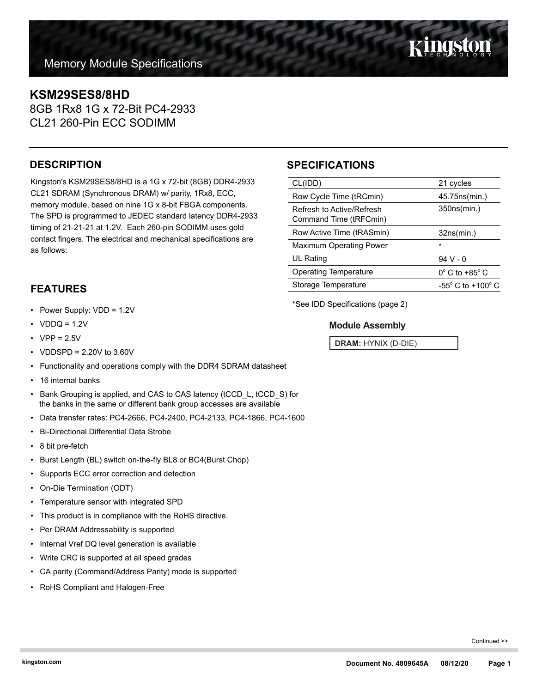## **KSM29SES8/8HD**

8GB 1Rx8 1G x 72-Bit PC4-2933 CL21 260-Pin ECC SODIMM

## **DESCRIPTION**

Kingston's KSM29SES8/8HD is a 1G x 72-bit (8GB) DDR4-2933 CL21 SDRAM (Synchronous DRAM) w/ parity, 1Rx8, ECC, memory module, based on nine 1G x 8-bit FBGA components. The SPD is programmed to JEDEC standard latency DDR4-2933 timing of 21-21-21 at 1.2V. Each 260-pin SODIMM uses gold contact fingers. The electrical and mechanical specifications are as follows:

## **FEATURES**

- Power Supply: VDD = 1.2V
- $VDDQ = 1.2V$
- $VPP = 2.5V$
- VDDSPD = 2.20V to 3.60V
- Functionality and operations comply with the DDR4 SDRAM datasheet
- 16 internal banks
- Bank Grouping is applied, and CAS to CAS latency (tCCD\_L, tCCD\_S) for the banks in the same or different bank group accesses are available
- Data transfer rates: PC4-2666, PC4-2400, PC4-2133, PC4-1866, PC4-1600
- Bi-Directional Differential Data Strobe
- 8 bit pre-fetch
- Burst Length (BL) switch on-the-fly BL8 or BC4(Burst Chop)
- Supports ECC error correction and detection
- On-Die Termination (ODT)
- Temperature sensor with integrated SPD
- This product is in compliance with the RoHS directive.
- Per DRAM Addressability is supported
- Internal Vref DQ level generation is available
- Write CRC is supported at all speed grades
- CA parity (Command/Address Parity) mode is supported
- RoHS Compliant and Halogen-Free

## **SPECIFICATIONS**

| CL(IDD)                                             | 21 cycles                           |
|-----------------------------------------------------|-------------------------------------|
| Row Cycle Time (tRCmin)                             | 45.75ns(min.)                       |
| Refresh to Active/Refresh<br>Command Time (tRFCmin) | 350ns(min.)                         |
| Row Active Time (tRASmin)                           | 32ns(min.)                          |
| <b>Maximum Operating Power</b>                      | $\star$                             |
| UL Rating                                           | 94 V - 0                            |
| Operating Temperature                               | $0^\circ$ C to +85 $^\circ$ C       |
| Storage Temperature                                 | $-55^{\circ}$ C to $+100^{\circ}$ C |
|                                                     |                                     |

\*See IDD Specifications (page 2)

### **Module Assembly**

**DRAM:** HYNIX (D-DIE)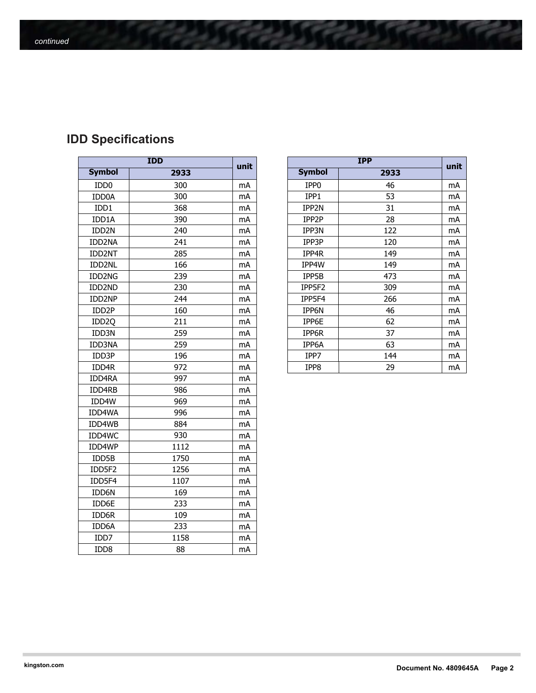# **IDD Specifications**

| <b>IDD</b>         |      |    |  |  |
|--------------------|------|----|--|--|
| <b>Symbol</b>      | 2933 |    |  |  |
| IDD <sub>0</sub>   | 300  | mA |  |  |
| IDD0A              | 300  | mA |  |  |
| IDD1               | 368  | mA |  |  |
| IDD1A              | 390  | mA |  |  |
| IDD2N              | 240  | mA |  |  |
| IDD2NA             | 241  | mA |  |  |
| IDD2NT             | 285  | mA |  |  |
| IDD2NL             | 166  | mA |  |  |
| IDD2NG             | 239  | mA |  |  |
| IDD2ND             | 230  | mA |  |  |
| IDD2NP             | 244  | mA |  |  |
| IDD <sub>2</sub> P | 160  | mA |  |  |
| IDD <sub>20</sub>  | 211  | mA |  |  |
| IDD3N              | 259  | mA |  |  |
| IDD3NA             | 259  | mA |  |  |
| IDD3P              | 196  | mA |  |  |
| IDD4R              | 972  | mA |  |  |
| IDD4RA             | 997  | mA |  |  |
| IDD4RB             | 986  | mA |  |  |
| IDD4W              | 969  | mA |  |  |
| IDD4WA             | 996  | mA |  |  |
| IDD4WB             | 884  | mA |  |  |
| IDD4WC             | 930  | mA |  |  |
| IDD4WP             | 1112 | mA |  |  |
| IDD5B              | 1750 | mA |  |  |
| IDD5F2             | 1256 | mA |  |  |
| IDD5F4             | 1107 | mA |  |  |
| IDD6N              | 169  | mA |  |  |
| IDD6E              | 233  | mA |  |  |
| IDD6R              | 109  | mA |  |  |
| IDD6A              | 233  | mA |  |  |
| IDD7               | 1158 | mA |  |  |
| IDD <sub>8</sub>   | 88   | mA |  |  |

| <b>IDD</b>                   |      |      | <b>IPP</b>       |      |      |
|------------------------------|------|------|------------------|------|------|
| <b>Symbol</b>                | 2933 | unit | <b>Symbol</b>    | 2933 | unit |
| ID <sub>D</sub> <sub>0</sub> | 300  | mA   | IPP <sub>0</sub> | 46   | mA   |
| IDD0A                        | 300  | mA   | IPP1             | 53   | mA   |
| IDD1                         | 368  | mA   | IPP2N            | 31   | mA   |
| IDD1A                        | 390  | mA   | IPP2P            | 28   | mA   |
| IDD <sub>2N</sub>            | 240  | mA   | IPP3N            | 122  | mA   |
| IDD2NA                       | 241  | mA   | IPP3P            | 120  | mA   |
| IDD2NT                       | 285  | mA   | IPP4R            | 149  | mA   |
| IDD2NL                       | 166  | mA   | IPP4W            | 149  | mA   |
| IDD2NG                       | 239  | mA   | IPP5B            | 473  | mA   |
| IDD2ND                       | 230  | mA   | IPP5F2           | 309  | mA   |
| IDD2NP                       | 244  | mA   | IPP5F4           | 266  | mA   |
| IDD <sub>2</sub> P           | 160  | mA   | IPP6N            | 46   | mA   |
| IDD <sub>2Q</sub>            | 211  | mA   | IPP6E            | 62   | mA   |
| IDD3N                        | 259  | mA   | IPP6R            | 37   | mA   |
| IDD3NA                       | 259  | mA   | IPP6A            | 63   | mA   |
| IDD3P                        | 196  | mA   | IPP7             | 144  | mA   |
| IDD4R                        | 972  | mA   | IPP8             | 29   | mA   |